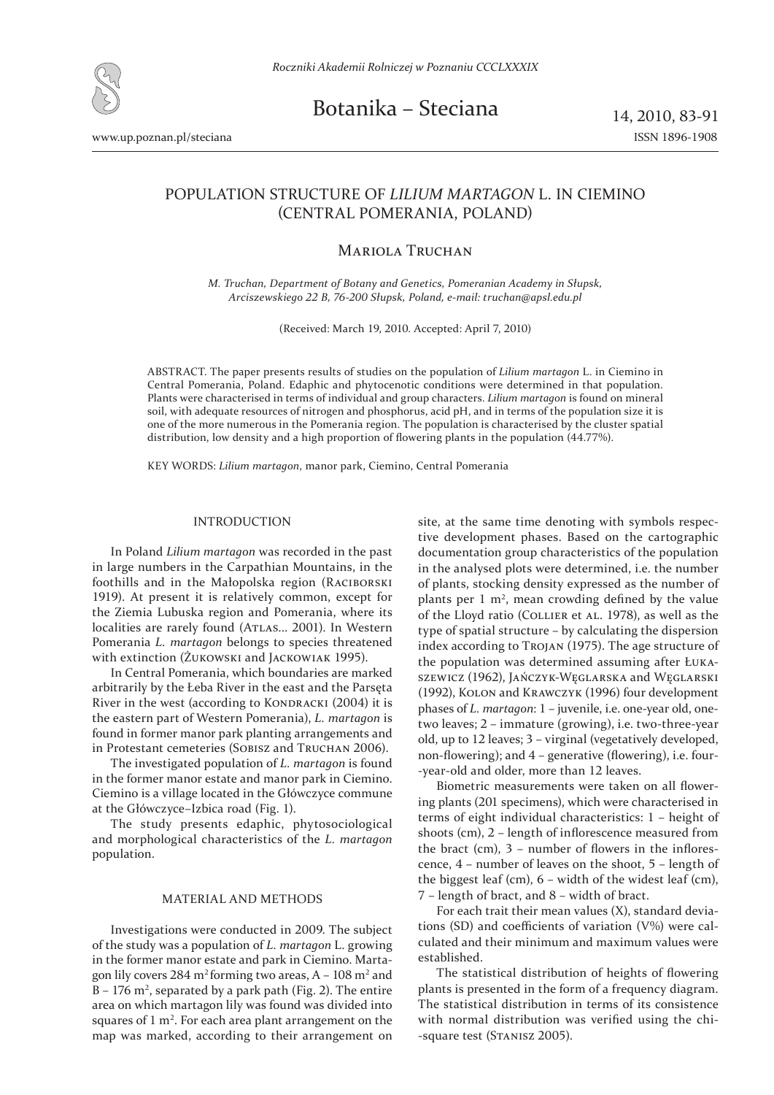

Botanika – Steciana  $14, 2010, 83-91$ 

www.up.poznan.pl/steciana ISSN 1896-1908

# POPULATION STRUCTURE OF *LILIUM MARTAGON* L. IN CIEMINO (CENTRAL POMERANIA, POLAND)

## MARIOLA TRUCHAN

*M. Truchan, Department of Botany and Genetics, Pomeranian Academy in Słupsk, Arciszewskiego B, ΅΄-;; Słupsk, Poland, e-mail: truchan@apsl.edu.pl*

(Received: March 19, 2010. Accepted: April 7, 2010)

ABSTRACT. The paper presents results of studies on the population of *Lilium martagon* L. in Ciemino in Central Pomerania, Poland. Edaphic and phytocenotic conditions were determined in that population. Plants were characterised in terms of individual and group characters. *Lilium martagon* is found on mineral soil, with adequate resources of nitrogen and phosphorus, acid pH, and in terms of the population size it is one of the more numerous in the Pomerania region. The population is characterised by the cluster spatial distribution, low density and a high proportion of flowering plants in the population (44.77%).

KEY WORDS: *Lilium martagon*, manor park, Ciemino, Central Pomerania

## INTRODUCTION

In Poland *Lilium martagon* was recorded in the past in large numbers in the Carpathian Mountains, in the foothills and in the Małopolska region (RACIBORSKI 1919). At present it is relatively common, except for the Ziemia Lubuska region and Pomerania, where its localities are rarely found (ATLAS... 2001). In Western Pomerania *L. martagon* belongs to species threatened with extinction (ŻUKOWSKI and JACKOWIAΚ 1995).

In Central Pomerania, which boundaries are marked arbitrarily by the Łeba River in the east and the Parsęta River in the west (according to KONDRACKI (2004) it is the eastern part of Western Pomerania), *L. martagon* is found in former manor park planting arrangements and in Protestant cemeteries (SOBISZ and TRUCHAN 2006).

The investigated population of *L. martagon* is found in the former manor estate and manor park in Ciemino. Ciemino is a village located in the Główczyce commune at the Główczyce-Izbica road (Fig. 1).

The study presents edaphic, phytosociological and morphological characteristics of the *L. martagon*  population.

## MATERIAL AND METHODS

Investigations were conducted in 2009. The subject of the study was a population of *L. martagon* L. growing in the former manor estate and park in Ciemino. Martagon lily covers  $284 \text{ m}^2$  forming two areas, A –  $108 \text{ m}^2$  and  $B - 176$  m<sup>2</sup>, separated by a park path (Fig. 2). The entire area on which martagon lily was found was divided into squares of  $1 \text{ m}^2$ . For each area plant arrangement on the map was marked, according to their arrangement on

site, at the same time denoting with symbols respective development phases. Based on the cartographic documentation group characteristics of the population in the analysed plots were determined, i.e. the number of plants, stocking density expressed as the number of plants per  $1 \text{ m}^2$ , mean crowding defined by the value of the Lloyd ratio (COLLIER et AL. 1978), as well as the type of spatial structure – by calculating the dispersion index according to TROJAN (1975). The age structure of the population was determined assuming after ŁUKA-SZEWICZ (1962), JAŃCZYK-WĘGLARSKA and WĘGLARSKI (1992), KOLON and KRAWCZYK (1996) four development phases of *L. martagon*: 1 – juvenile, i.e. one-year old, onetwo leaves;  $2$  – immature (growing), i.e. two-three-year old, up to 12 leaves; 3 – virginal (vegetatively developed, non-flowering); and  $4$  – generative (flowering), i.e. four--year-old and older, more than 12 leaves.

Biometric measurements were taken on all flowering plants (201 specimens), which were characterised in terms of eight individual characteristics: 1 - height of shoots (cm),  $2$  – length of inflorescence measured from the bract (cm),  $3$  – number of flowers in the inflorescence,  $4$  – number of leaves on the shoot,  $5$  – length of the biggest leaf (cm),  $6$  – width of the widest leaf (cm),  $7$  – length of bract, and  $8$  – width of bract.

For each trait their mean values (X), standard deviations (SD) and coefficients of variation  $(V\%)$  were calculated and their minimum and maximum values were established.

The statistical distribution of heights of flowering plants is presented in the form of a frequency diagram. The statistical distribution in terms of its consistence with normal distribution was verified using the chi--square test (STANISZ 2005).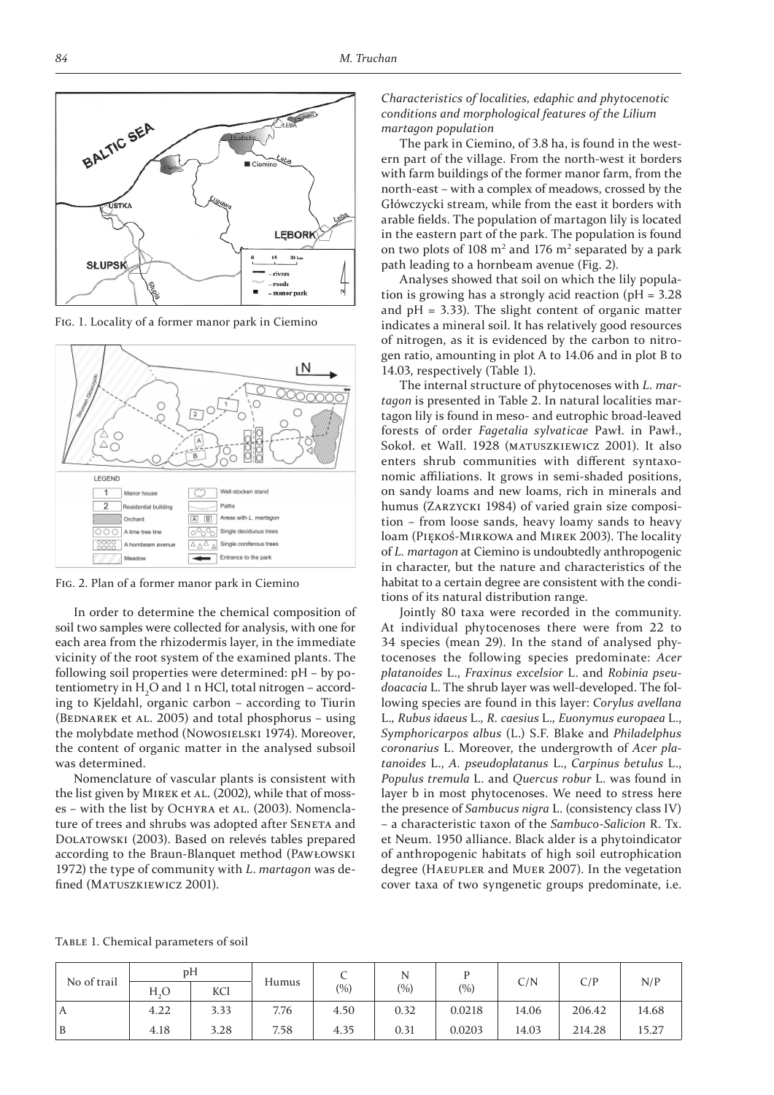

FIG. 1. Locality of a former manor park in Ciemino



FIG. 2. Plan of a former manor park in Ciemino

In order to determine the chemical composition of soil two samples were collected for analysis, with one for each area from the rhizodermis layer, in the immediate vicinity of the root system of the examined plants. The following soil properties were determined: pH – by potentiometry in  $\rm H_2O$  and 1 n HCl, total nitrogen – according to Kjeldahl, organic carbon – according to Tiurin (BEDNAREK et AL. 2005) and total phosphorus – using the molybdate method (NOWOSIELSKI 1974). Moreover, the content of organic matter in the analysed subsoil was determined.

Nomenclature of vascular plants is consistent with the list given by MIREK et AL. (2002), while that of mosses – with the list by OCHYRA et AL. (2003). Nomenclature of trees and shrubs was adopted after SENETA and DOLATOWSKI (2003). Based on relevés tables prepared according to the Braun-Blanquet method (PAWŁOWSKI 1972) the type of community with *L*. martagon was defined (MATUSZKIEWICZ 2001).

## *Characteristics of localities, edaphic and phytocenotic conditions and morphological features of the Lilium martagon population*

The park in Ciemino, of 3.8 ha, is found in the western part of the village. From the north-west it borders with farm buildings of the former manor farm, from the north-east – with a complex of meadows, crossed by the Główczycki stream, while from the east it borders with arable fields. The population of martagon lily is located in the eastern part of the park. The population is found on two plots of 108 m<sup>2</sup> and 176 m<sup>2</sup> separated by a park path leading to a hornbeam avenue (Fig. 2).

Analyses showed that soil on which the lily population is growing has a strongly acid reaction ( $pH = 3.28$ ) and  $pH = 3.33$ ). The slight content of organic matter indicates a mineral soil. It has relatively good resources of nitrogen, as it is evidenced by the carbon to nitrogen ratio, amounting in plot A to 14.06 and in plot B to 14.03, respectively (Table 1).

The internal structure of phytocenoses with *L. martagon* is presented in Table 2. In natural localities martagon lily is found in meso- and eutrophic broad-leaved forests of order *Fagetalia sylvaticae* Pawł. in Pawł., Sokoł. et Wall. 1928 (MATUSZKIEWICZ 2001). It also enters shrub communities with different syntaxonomic affiliations. It grows in semi-shaded positions, on sandy loams and new loams, rich in minerals and humus (ZARZYCKI 1984) of varied grain size composition – from loose sands, heavy loamy sands to heavy loam (PΙΕΚΟ ΄- ΜΙRΚΟ WA and MIREK 2003). The locality of *L. martagon* at Ciemino is undoubtedly anthropogenic in character, but the nature and characteristics of the habitat to a certain degree are consistent with the conditions of its natural distribution range.

Jointly 80 taxa were recorded in the community. At individual phytocenoses there were from 22 to 34 species (mean 29). In the stand of analysed phytocenoses the following species predominate: *Acer platanoides* L., *Fraxinus excelsior* L. and *Robinia pseudoacacia* L. The shrub layer was well-developed. The following species are found in this layer: *Corylus avellana*  L.*, Rubus idaeus* L.*, R. caesius* L.*, Euonymus europaea* L., *Symphoricarpos albus* (L.) S.F. Blake and *Philadelphus coronarius* L. Moreover, the undergrowth of *Acer platanoides* L., *A. pseudoplatanus* L., *Carpinus betulus* L., *Populus tremula* L. and *Quercus robur* L. was found in layer b in most phytocenoses. We need to stress here the presence of *Sambucus nigra* L. (consistency class IV) – a characteristic taxon of the *Sambuco-Salicion* R. Tx. et Neum. 1950 alliance. Black alder is a phytoindicator of anthropogenic habitats of high soil eutrophication degree (HAEUPLER and MUER 2007). In the vegetation cover taxa of two syngenetic groups predominate, i.e.

TABLE 1. Chemical parameters of soil

| No of trail | pH   |            |       | ◡     |      |        |                |        |       |
|-------------|------|------------|-------|-------|------|--------|----------------|--------|-------|
|             | H.O  | <b>KCl</b> | Humus | (0/0) | (%)  | (9/0)  | $\mathsf{C/N}$ | C/P    | N/P   |
| A           | 4.22 | 3.33       | 7.76  | 4.50  | 0.32 | 0.0218 | 14.06          | 206.42 | 14.68 |
| B           | 4.18 | 3.28       | 7.58  | 4.35  | 0.31 | 0.0203 | 14.03          | 214.28 | 15.27 |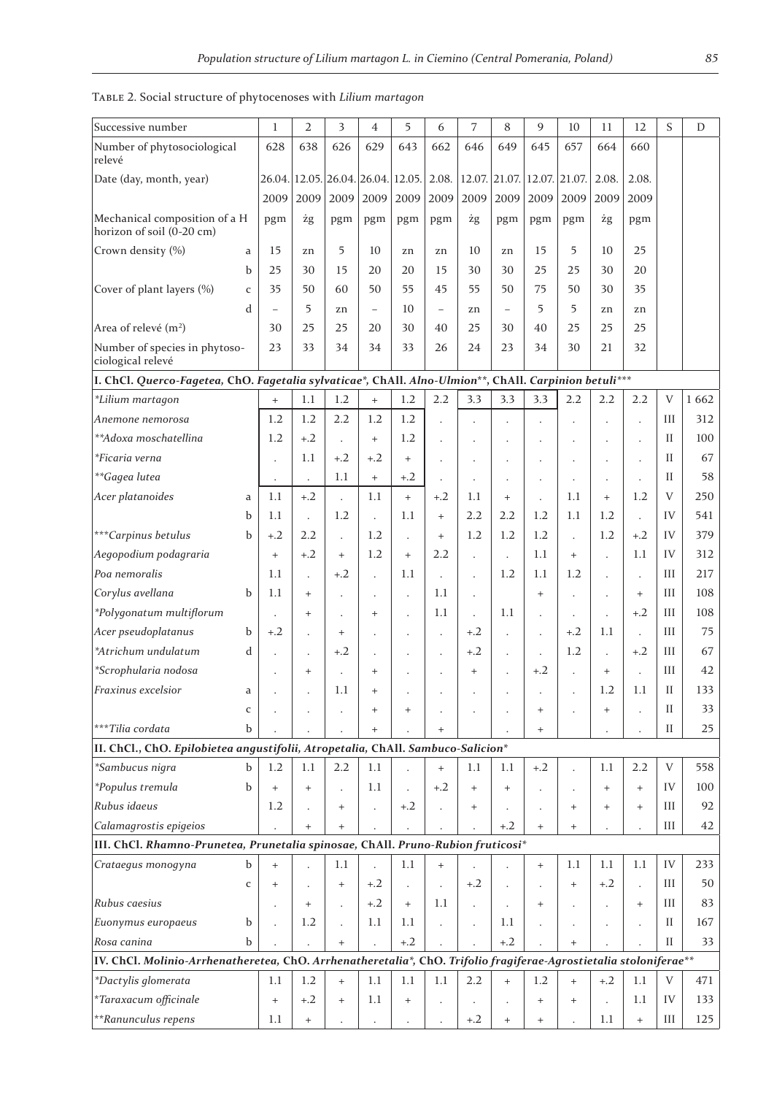| Successive number                                                                                                 |              | 1                    | $\overline{2}$                   | 3                                | 4                        | 5                                  | 6                 | 7                    | 8                           | 9                                | 10                   | 11                   | 12                   | S            | D       |
|-------------------------------------------------------------------------------------------------------------------|--------------|----------------------|----------------------------------|----------------------------------|--------------------------|------------------------------------|-------------------|----------------------|-----------------------------|----------------------------------|----------------------|----------------------|----------------------|--------------|---------|
| Number of phytosociological<br>relevé                                                                             |              | 628                  | 638                              | 626                              | 629                      | 643                                | 662               | 646                  | 649                         | 645                              | 657                  | 664                  | 660                  |              |         |
| Date (day, month, year)                                                                                           |              |                      |                                  |                                  |                          | 26.04. 12.05. 26.04. 26.04. 12.05. | 2.08.             |                      | 12.07. 21.07. 12.07. 21.07. |                                  |                      | 2.08.                | 2.08.                |              |         |
|                                                                                                                   |              | 2009                 | 2009                             | 2009                             | 2009                     | 2009                               | 2009              | 2009                 | 2009                        | 2009                             | 2009                 | 2009                 | 2009                 |              |         |
| Mechanical composition of a H<br>horizon of soil (0-20 cm)                                                        |              | pgm                  | żg                               | pgm                              | pgm                      | pgm                                | pgm               | żg                   | pgm                         | pgm                              | pgm                  | żg                   | pgm                  |              |         |
| Crown density (%)                                                                                                 | a            | 15                   | zn                               | 5                                | 10                       | zn                                 | zn                | 10                   | zn                          | 15                               | 5                    | 10                   | 25                   |              |         |
|                                                                                                                   | b            | 25                   | 30                               | 15                               | 20                       | 20                                 | 15                | 30                   | 30                          | 25                               | 25                   | 30                   | 20                   |              |         |
| Cover of plant layers (%)                                                                                         | $\mathsf{C}$ | 35                   | 50                               | 60                               | 50                       | 55                                 | 45                | 55                   | 50                          | 75                               | 50                   | 30                   | 35                   |              |         |
|                                                                                                                   | d            |                      | 5                                | zn                               | $\overline{\phantom{m}}$ | 10                                 | $\qquad \qquad -$ | zn                   | $\overline{\phantom{0}}$    | 5                                | 5                    | zn                   | zn                   |              |         |
| Area of relevé (m <sup>2</sup> )                                                                                  |              | 30                   | 25                               | 25                               | 20                       | 30                                 | 40                | 25                   | 30                          | 40                               | 25                   | 25                   | 25                   |              |         |
| Number of species in phytoso-<br>ciological relevé                                                                |              | 23                   | 33                               | 34                               | 34                       | 33                                 | 26                | 24                   | 23                          | 34                               | 30                   | 21                   | 32                   |              |         |
| I. ChCl. Querco-Fagetea, ChO. Fagetalia sylvaticae*, ChAll. Alno-Ulmion**, ChAll. Carpinion betuli***             |              |                      |                                  |                                  |                          |                                    |                   |                      |                             |                                  |                      |                      |                      |              |         |
| *Lilium martagon                                                                                                  |              | $^{+}$               | 1.1                              | 1.2                              | $\ddot{}$                | 1.2                                | 2.2               | 3.3                  | 3.3                         | 3.3                              | 2.2                  | 2.2                  | 2.2                  | V            | 1 6 6 2 |
| Anemone nemorosa                                                                                                  |              | 1.2                  | 1.2                              | 2.2                              | 1.2                      | 1.2                                |                   |                      | $\ddot{\phantom{0}}$        | $\ddot{\phantom{a}}$             |                      |                      | $\ddot{\phantom{a}}$ | Ш            | 312     |
| **Adoxa moschatellina                                                                                             |              | 1.2                  | $+.2$                            | $\ddot{\phantom{a}}$             | $\ddot{}$                | 1.2                                |                   |                      |                             |                                  |                      |                      |                      | Н            | 100     |
| *Ficaria verna                                                                                                    |              | $\ddot{\phantom{0}}$ | 1.1                              | $+.2$                            | $+.2$                    | $+$                                |                   |                      |                             |                                  |                      |                      | $\ddot{\phantom{a}}$ | П            | 67      |
| **Gagea lutea                                                                                                     |              | $\cdot$              | $\ddot{\phantom{0}}$             | 1.1                              | $\ddot{}$                | $+.2$                              |                   |                      | $\cdot$                     | $\cdot$                          | $\cdot$              | $\bullet$            | $\cdot$              | Н            | 58      |
| Acer platanoides                                                                                                  | a            | 1.1                  | $+.2$                            | $\ddot{\phantom{a}}$             | 1.1                      | $+$                                | $+.2$             | 1.1                  | $+$                         |                                  | 1.1                  | $+$                  | 1.2                  | V            | 250     |
|                                                                                                                   | b            | 1.1                  | $\ddot{\phantom{a}}$             | 1.2                              |                          | 1.1                                | $+$               | 2.2                  | 2.2                         | 1.2                              | 1.1                  | 1.2                  | $\ddot{\phantom{a}}$ | IV           | 541     |
| ***Carpinus betulus                                                                                               | b            | $+.2$                | 2.2                              |                                  | 1.2                      |                                    | $+$               | 1.2                  | 1.2                         | 1.2                              |                      | 1.2                  | $+.2$                | IV           | 379     |
| Aegopodium podagraria                                                                                             |              | $\ddot{}$            | $+.2$                            | $+$                              | 1.2                      | $+$                                | 2.2               | $\ddot{\phantom{0}}$ | $\ddot{\phantom{0}}$        | 1.1                              | $+$                  |                      | 1.1                  | IV           | 312     |
| Poa nemoralis                                                                                                     |              | 1.1                  |                                  | $+.2$                            |                          | 1.1                                |                   | $\ddot{\phantom{0}}$ | 1.2                         | 1.1                              | 1.2                  |                      | $\ddot{\phantom{a}}$ | Ш            | 217     |
| Corylus avellana                                                                                                  | b            | 1.1                  | $+$                              |                                  |                          |                                    | 1.1               | $\ddot{\phantom{0}}$ |                             | $+$                              |                      |                      | $\ddot{}$            | Ш            | 108     |
| *Polygonatum multiflorum                                                                                          |              | $\ddot{\phantom{0}}$ | $^{+}$                           |                                  | $^{+}$                   |                                    | 1.1               | L.                   | 1.1                         | $\ddot{\phantom{0}}$             |                      | $\ddot{\phantom{0}}$ | $+.2$                | Ш            | 108     |
| Acer pseudoplatanus                                                                                               | b            | $+.2$                |                                  | $+$                              |                          |                                    |                   | $+.2$                | $\ddot{\phantom{0}}$        | $\blacksquare$                   | $+.2$                | 1.1                  | $\ddot{\phantom{a}}$ | Ш            | 75      |
| *Atrichum undulatum                                                                                               | d            |                      |                                  | $+.2$                            |                          |                                    |                   | $+.2$                |                             | $\blacksquare$                   | 1.2                  | $\mathbf{r}$         | $+.2$                | Ш            | 67      |
| *Scrophularia nodosa                                                                                              |              |                      | $\qquad \qquad +$                |                                  | $+$                      |                                    |                   | $\ddot{}$            |                             | $+.2$                            |                      | $+$                  | $\ddot{\phantom{0}}$ | Ш            | 42      |
| Fraxinus excelsior                                                                                                | a            |                      |                                  | 1.1                              | $^{+}$                   |                                    |                   |                      |                             |                                  |                      | 1.2                  | 1.1                  | $\mathbf{I}$ | 133     |
|                                                                                                                   | $\mathsf C$  |                      |                                  |                                  | $^{+}$                   | $^{+}$                             |                   |                      |                             | $^{+}$                           |                      | $^{+}$               |                      | П            | 33      |
| ***Tilia cordata                                                                                                  | b            |                      |                                  |                                  | $+$                      |                                    | $+$               |                      |                             | $+$                              |                      |                      |                      | П            | 25      |
| II. ChCl., ChO. Epilobietea angustifolii, Atropetalia, ChAll. Sambuco-Salicion*                                   |              |                      |                                  |                                  |                          |                                    |                   |                      |                             |                                  |                      |                      |                      |              |         |
| *Sambucus nigra                                                                                                   | b            | 1.2                  | 1.1                              | 2.2                              | 1.1                      |                                    | $+$               | 1.1                  | 1.1                         | $+.2$                            |                      | 1.1                  | 2.2                  | V            | 558     |
| *Populus tremula                                                                                                  | b            | $+$                  | $+$                              |                                  | 1.1                      |                                    | $+.2$             | $+$                  | $^{+}$                      | $\ddot{\phantom{a}}$             | $\bullet$            | $^{+}$               | $+$                  | IV           | 100     |
| Rubus idaeus                                                                                                      |              | 1.2                  |                                  | $\ddot{}$                        |                          | $+.2$                              |                   | $\ddot{}$            |                             | $\bullet$                        | $^{+}$               | $^{+}$               | $+$                  | Ш            | 92      |
| Calamagrostis epigeios                                                                                            |              |                      | $+$                              | $+$                              |                          |                                    |                   |                      | $+.2$                       | $+$                              | $+$                  |                      | $\ddot{\phantom{0}}$ | III          | 42      |
| III. ChCl. Rhamno-Prunetea, Prunetalia spinosae, ChAll. Pruno-Rubion fruticosi*                                   |              |                      |                                  |                                  |                          |                                    |                   |                      |                             |                                  |                      |                      |                      |              |         |
| Crataegus monogyna                                                                                                | b            | $^{+}$               |                                  | 1.1                              |                          | 1.1                                | $+$               |                      |                             | $+$                              | 1.1                  | 1.1                  | 1.1                  | IV           | 233     |
|                                                                                                                   | $\mathsf C$  | $^{+}$               |                                  | $+$                              | $+.2$                    |                                    |                   | $+.2$                | $\ddot{\phantom{0}}$        |                                  | $^{+}$               | $+.2$                | $\ddot{\phantom{1}}$ | Ш            | 50      |
| Rubus caesius                                                                                                     |              | $\ddot{\phantom{0}}$ | $\begin{array}{c} + \end{array}$ | $\ddot{\phantom{0}}$             | $+.2$                    | $+$                                | 1.1               |                      | $\ddot{\phantom{0}}$        | $^{+}$                           | $\ddot{\phantom{0}}$ | $\ddot{\phantom{a}}$ | $^{+}$               | Ш            | 83      |
| Euonymus europaeus                                                                                                | b            |                      | 1.2                              |                                  | 1.1                      | 1.1                                |                   |                      | 1.1                         |                                  | $\cdot$              |                      | $\ddot{\phantom{0}}$ | $\mathbf{I}$ | 167     |
| Rosa canina                                                                                                       | b            |                      |                                  | $\! + \!\!\!\!$                  |                          | $+.2$                              |                   |                      | $+.2$                       |                                  | $^{+}$               |                      |                      | $\mathbf{I}$ | 33      |
| IV. ChCl. Molinio-Arrhenatheretea, ChO. Arrhenatheretalia*, ChO. Trifolio fragiferae-Agrostietalia stoloniferae** |              |                      |                                  |                                  |                          |                                    |                   |                      |                             |                                  |                      |                      |                      |              |         |
| *Dactylis glomerata                                                                                               |              | 1.1                  | 1.2                              | $+$                              | $1.1\,$                  | $1.1\,$                            | 1.1               | 2.2                  | $\ddot{}$                   | 1.2                              | $^{+}$               | $+.2$                | 1.1                  | V            | 471     |
| *Taraxacum officinale                                                                                             |              | $\qquad \qquad +$    | $+.2$                            | $\begin{array}{c} + \end{array}$ | 1.1                      | $\qquad \qquad +$                  |                   |                      |                             | $\begin{array}{c} + \end{array}$ | $\qquad \qquad +$    |                      | 1.1                  | IV           | 133     |
| **Ranunculus repens                                                                                               |              | 1.1                  | $\begin{array}{c} + \end{array}$ |                                  |                          |                                    |                   | $+.2$                | $+$                         | $+$                              |                      | 1.1                  | $+$                  | III          | 125     |

TABLE ͼ. Social structure of phytocenoses with *Lilium martagon*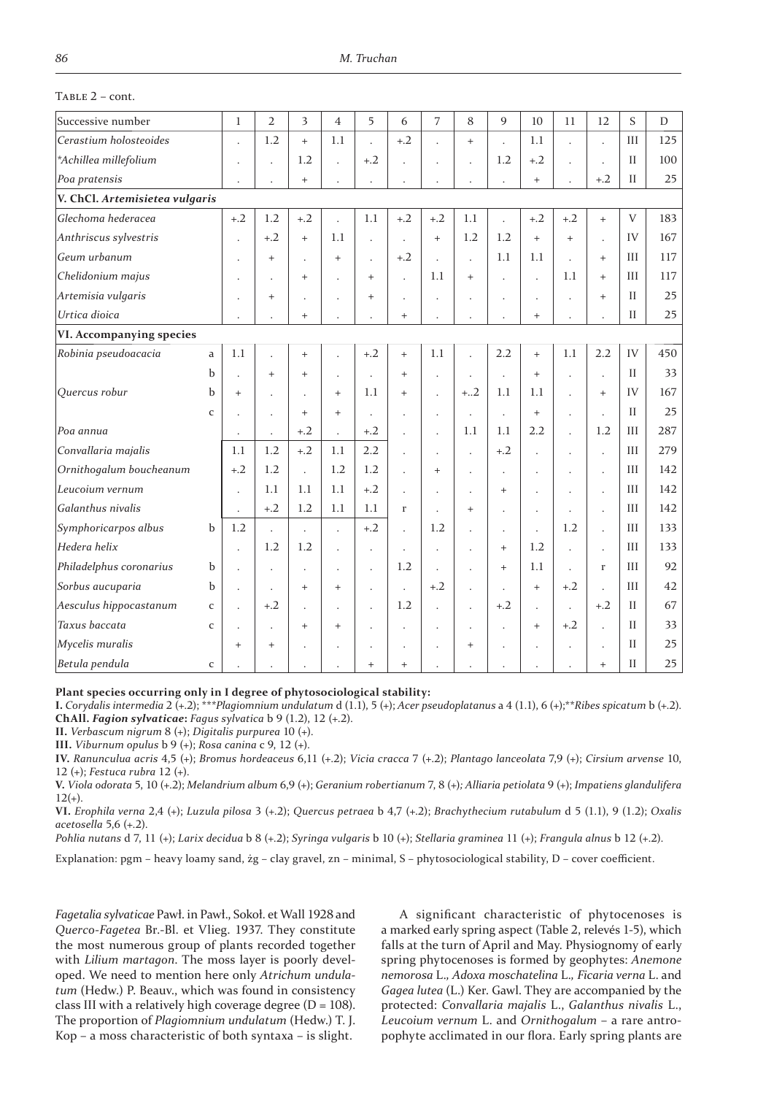## $TABLE 2 - cont.$

| Successive number              |              | $\mathbf{1}$         | $\overline{2}$           | 3                    | $\overline{4}$       | 5                    | 6                    | $\overline{7}$       | 8                    | 9                    | 10                   | 11                   | 12                   | S            | D   |
|--------------------------------|--------------|----------------------|--------------------------|----------------------|----------------------|----------------------|----------------------|----------------------|----------------------|----------------------|----------------------|----------------------|----------------------|--------------|-----|
| Cerastium holosteoides         |              | l.                   | 1.2                      | $+$                  | 1.1                  | l.                   | $+.2$                |                      | $\ddot{}$            | $\overline{a}$       | 1.1                  | $\ddot{\phantom{a}}$ | $\overline{a}$       | III          | 125 |
| *Achillea millefolium          |              |                      |                          | 1.2                  |                      | $+.2$                |                      | ÷.                   | l,                   | 1.2                  | $+.2$                |                      | $\overline{a}$       | $\mathbf{H}$ | 100 |
| Poa pratensis                  |              |                      | $\overline{\phantom{a}}$ | $+$                  | $\ddot{\phantom{0}}$ |                      |                      |                      |                      | $\overline{a}$       | $+$                  |                      | $+.2$                | H            | 25  |
| V. ChCl. Artemisietea vulgaris |              |                      |                          |                      |                      |                      |                      |                      |                      |                      |                      |                      |                      |              |     |
| Glechoma hederacea             |              | $+.2$                | 1.2                      | $+.2$                | L.                   | 1.1                  | $+.2$                | $+.2$                | 1.1                  | $\overline{a}$       | $+.2$                | $+.2$                | $+$                  | $\mathbf{V}$ | 183 |
| Anthriscus sylvestris          |              |                      | $+.2$                    | $+$                  | 1.1                  | l                    | l.                   | $\ddot{}$            | 1.2                  | 1.2                  | $\ddot{}$            | $+$                  | $\ddot{\phantom{0}}$ | IV           | 167 |
| Geum urbanum                   |              |                      | $+$                      | ÷                    | $+$                  | J.                   | $+.2$                | J.                   | $\ddot{\phantom{a}}$ | 1.1                  | 1.1                  | $\ddot{\phantom{a}}$ | $+$                  | III          | 117 |
| Chelidonium majus              |              |                      | $\overline{\phantom{a}}$ | $+$                  | ä,                   | $\ddot{}$            | l.                   | 1.1                  | $\ddot{}$            | $\overline{a}$       | $\ddot{\phantom{a}}$ | 1.1                  | $+$                  | III          | 117 |
| Artemisia vulgaris             |              | L.                   | $+$                      |                      | $\ddot{\phantom{0}}$ | $+$                  | $\ddot{\phantom{a}}$ |                      |                      | $\ddot{\phantom{0}}$ | $\ddot{\phantom{a}}$ | $\overline{a}$       | $+$                  | $\mathbf{I}$ | 25  |
| Urtica dioica                  |              |                      |                          | $+$                  | $\ddot{\phantom{0}}$ |                      | $^{+}$               |                      |                      |                      | $\ddot{}$            |                      |                      | $\mathbf{I}$ | 25  |
| VI. Accompanying species       |              |                      |                          |                      |                      |                      |                      |                      |                      |                      |                      |                      |                      |              |     |
| Robinia pseudoacacia           | $\mathbf{a}$ | 1.1                  | $\overline{a}$           | $+$                  | $\ddot{\phantom{0}}$ | $+.2$                | $^{+}$               | 1.1                  | $\ddot{\phantom{0}}$ | 2.2                  | $^{+}$               | 1.1                  | 2.2                  | IV           | 450 |
|                                | b            | $\overline{a}$       | $+$                      | $+$                  | ä,                   |                      | $+$                  | ÷.                   | $\ddot{\phantom{0}}$ | $\ddot{\phantom{a}}$ | $\ddot{}$            | $\ddot{\phantom{a}}$ | $\ddot{\phantom{0}}$ | $\mathbf{I}$ | 33  |
| Quercus robur                  | b            | $+$                  | $\ddot{\phantom{a}}$     | $\ddot{\phantom{a}}$ | $+$                  | 1.1                  | $\ddot{}$            | $\ddot{\phantom{0}}$ | $+.2$                | 1.1                  | 1.1                  | $\ddot{\phantom{0}}$ | $+$                  | IV           | 167 |
|                                | $\mathsf{C}$ |                      | $\ddot{\phantom{0}}$     | $+$                  | $+$                  | ä,                   | $\ddot{\phantom{0}}$ | $\ddot{\phantom{0}}$ | $\ddot{\phantom{0}}$ | $\ddot{\phantom{0}}$ | $\ddot{}$            | $\ddot{\phantom{a}}$ | $\ddot{\phantom{0}}$ | $\mathbf{I}$ | 25  |
| Poa annua                      |              | $\ddot{\phantom{0}}$ | $\ddot{\phantom{a}}$     | $+.2$                | $\ddot{\phantom{0}}$ | $+.2$                | $\ddot{\phantom{0}}$ | $\ddot{\phantom{0}}$ | 1.1                  | 1.1                  | 2.2                  | $\ddot{\phantom{0}}$ | 1.2                  | III          | 287 |
| Convallaria majalis            |              | 1.1                  | 1.2                      | $+.2$                | 1.1                  | 2.2                  | $\ddot{\phantom{0}}$ | $\ddot{\phantom{a}}$ | $\ddot{\phantom{a}}$ | $+.2$                | $\ddot{\phantom{a}}$ | $\ddot{\phantom{0}}$ | $\cdot$              | III          | 279 |
| Ornithogalum boucheanum        |              | $+.2$                | 1.2                      | $\ddot{\phantom{a}}$ | 1.2                  | 1.2                  | ÷.                   | $^{+}$               | $\ddot{\phantom{0}}$ | $\ddot{\phantom{a}}$ | $\ddot{\phantom{a}}$ | $\ddot{\phantom{a}}$ | $\ddot{\phantom{a}}$ | III          | 142 |
| Leucoium vernum                |              | L.                   | 1.1                      | 1.1                  | 1.1                  | $+.2$                | $\Box$               | $\lambda$            | $\bullet$            | $+$                  | $\ddot{\phantom{a}}$ | $\overline{a}$       | $\ddot{\phantom{a}}$ | III          | 142 |
| Galanthus nivalis              |              | $\ddot{\phantom{a}}$ | $+.2$                    | 1.2                  | 1.1                  | 1.1                  | r                    | $\overline{a}$       | $+$                  | $\overline{a}$       | $\cdot$              | $\ddot{\phantom{a}}$ | $\ddot{\phantom{a}}$ | III          | 142 |
| Symphoricarpos albus           | $\mathbf b$  | 1.2                  | $\ddot{\phantom{a}}$     | $\ddot{\phantom{a}}$ | l.                   | $+.2$                | J.                   | 1.2                  | $\ddot{\phantom{0}}$ | $\cdot$              | $\ddot{\phantom{0}}$ | 1.2                  | $\overline{a}$       | III          | 133 |
| Hedera helix                   |              | $\ddot{\phantom{0}}$ | 1.2                      | 1.2                  | J.                   | ï                    | ÷.                   |                      |                      | $+$                  | 1.2                  | $\overline{a}$       | $\ddot{\phantom{a}}$ | III          | 133 |
| Philadelphus coronarius        | b            | L.                   | $\cdot$                  | $\ddot{\phantom{a}}$ | $\ddot{\phantom{a}}$ | $\ddot{\phantom{0}}$ | 1.2                  | J.                   | $\ddot{\phantom{0}}$ | $+$                  | 1.1                  | $\ddot{\phantom{a}}$ | $\Gamma$             | III          | 92  |
| Sorbus aucuparia               | b            | L.                   | $\Box$                   | $+$                  | $+$                  | J.                   | $\ddot{\phantom{a}}$ | $+.2$                | $\ddot{\phantom{a}}$ | $\ddot{\phantom{0}}$ | $+$                  | $+.2$                | $\ddot{\phantom{a}}$ | III          | 42  |
| Aesculus hippocastanum         | $\mathbf C$  | l.                   | $+.2$                    | $\ddot{\phantom{a}}$ | $\ddot{\phantom{0}}$ | $\ddot{\phantom{0}}$ | 1.2                  |                      | $\ddot{\phantom{0}}$ | $+.2$                | $\Box$               | $\ddot{\phantom{a}}$ | $+.2$                | $\mathbf{H}$ | 67  |
| Taxus baccata                  | $\mathbf{C}$ |                      | $\cdot$                  | $+$                  | $+$                  |                      | $\ddot{\phantom{0}}$ | $\ddot{\phantom{0}}$ | $\ddot{\phantom{0}}$ | $\ddot{\phantom{a}}$ | $\ddot{}$            | $+.2$                | $\ddot{\phantom{0}}$ | $\mathbf{I}$ | 33  |
| Mycelis muralis                |              | $+$                  | $+$                      |                      | $\ddot{\phantom{0}}$ | $\ddot{\phantom{a}}$ | $\ddot{\phantom{0}}$ |                      | $\ddot{}$            | l,                   | $\ddot{\phantom{a}}$ | $\ddot{\phantom{0}}$ | $\ddot{\phantom{a}}$ | $\mathbf{I}$ | 25  |
| Betula pendula                 | $\mathsf{C}$ |                      | $\overline{a}$           |                      | $\ddot{\phantom{0}}$ | $\ddot{}$            | $^{+}$               |                      |                      |                      |                      |                      | $+$                  | $\mathbf{I}$ | 25  |

**Plant species occurring only in I degree of phytosociological stability:**

**I.** Corydalis intermedia 2 (+.2); \*\*\**Plagiomnium undulatum d* (1.1), 5 (+); *Acer pseudoplatanus* a 4 (1.1), 6 (+); \*\**Ribes spicatum* b (+.2). **ChAll.** *Fagion sylvaticae*: *Fagus sylvatica* b 9 (1.2), 12 (+.2).

**II.** *Verbascum nigrum* 8 (+); *Digitalis purpurea* 10 (+).

**III.** *Viburnum opulus b* 9 (+); *Rosa canina c* 9, 12 (+).

**IV.** *Ranunculua acris* 4,5 (+); *Bromus hordeaceus* 6,11 (+.2); *Vicia cracca* 7 (+.2); *Plantago lanceolata* 7,9 (+); *Cirsium arvense* 10, 12 (+); *Festuca rubra* 12 (+).

**V.** *Viola odorata* 5, 10 (+.2); *Melandrium album* 6,9 (+); *Geranium robertianum* 7, 8 (+); *Alliaria petiolata* 9 (+); *Impatiens glandulifera*  $12(+)$ .

**VI.** *Erophila verna* 2,4 (+); *Luzula pilosa* 3 (+.2); *Quercus petraea* b 4,7 (+.2); *Brachythecium rutabulum* d 5 (1.1), 9 (1.2); *Oxalis acetosella* 5,6 (+.2).

*Pohlia nutans d 7, 11 (+); Larix decidua b 8 (+.2); Syringa vulgaris b 10 (+); Stellaria graminea 11 (+); <i>Frangula alnus* b 12 (+.2).

Explanation: pgm – heavy loamy sand, żg – clay gravel, zn – minimal, S – phytosociological stability, D – cover coefficient.

*Fagetalia sylvaticae Pawł. in Pawł., Sokoł. et Wall 1928 and Querco-Fagetea Br.-Bl. et Vlieg. 1937. They constitute* the most numerous group of plants recorded together with *Lilium martagon*. The moss layer is poorly developed. We need to mention here only *Atrichum undulatum* (Hedw.) P. Beauv., which was found in consistency class III with a relatively high coverage degree ( $D = 108$ ). The proportion of *Plagiomnium undulatum* (Hedw.) T. J. Kop – a moss characteristic of both syntaxa – is slight.

A significant characteristic of phytocenoses is a marked early spring aspect (Table 2, relevés 1-5), which falls at the turn of April and May. Physiognomy of early spring phytocenoses is formed by geophytes: *Anemone nemorosa* L.*, Adoxa moschatelina* L.*, Ficaria verna* L. and *Gagea lutea* (L.) Ker. Gawl. They are accompanied by the protected: *Convallaria majalis* L., *Galanthus nivalis* L., *Leucoium vernum* L. and *Ornithogalum* – a rare antropophyte acclimated in our flora. Early spring plants are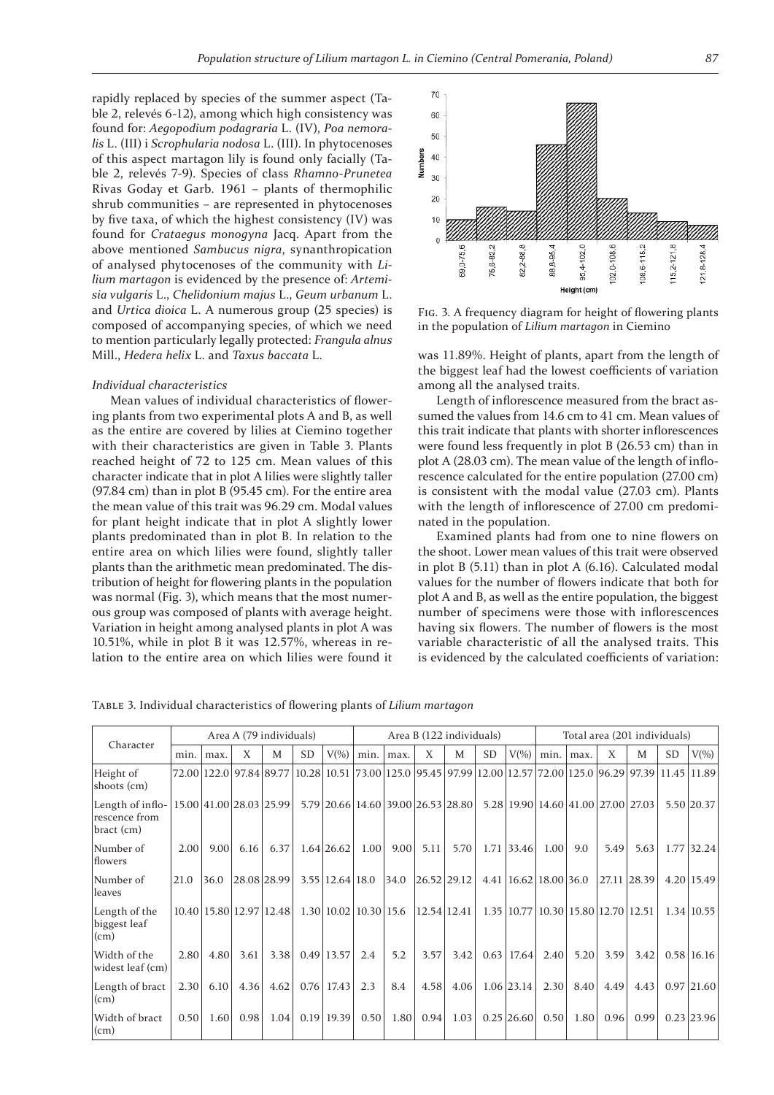rapidly replaced by species of the summer aspect (Table 2, relevés 6-12), among which high consistency was found for: *Aegopodium podagraria* L. (IV), *Poa nemoralis* L. (III) i *Scrophularia nodosa* L. (III). In phytocenoses of this aspect martagon lily is found only facially (Table 2, relevés 7-9). Species of class *Rhamno-Prunetea* Rivas Goday et Garb. 1961 - plants of thermophilic shrub communities – are represented in phytocenoses by five taxa, of which the highest consistency (IV) was found for *Crataegus monogyna* Jacq. Apart from the above mentioned *Sambucus nigra*, synanthropication of analysed phytocenoses of the community with *Lilium martagon* is evidenced by the presence of: *Artemisia vulgaris* L., *Chelidonium majus* L., *Geum urbanum* L. and *Urtica dioica* L. A numerous group (25 species) is composed of accompanying species, of which we need to mention particularly legally protected: *Frangula alnus*  Mill., *Hedera helix* L. and *Taxus baccata* L.

#### *Individual characteristics*

Mean values of individual characteristics of flowering plants from two experimental plots A and B, as well as the entire are covered by lilies at Ciemino together with their characteristics are given in Table 3. Plants reached height of 72 to 125 cm. Mean values of this character indicate that in plot A lilies were slightly taller  $(97.84 \text{ cm})$  than in plot B  $(95.45 \text{ cm})$ . For the entire area the mean value of this trait was 96.29 cm. Modal values for plant height indicate that in plot A slightly lower plants predominated than in plot B. In relation to the entire area on which lilies were found, slightly taller plants than the arithmetic mean predominated. The distribution of height for flowering plants in the population was normal (Fig. 3), which means that the most numerous group was composed of plants with average height. Variation in height among analysed plants in plot A was  $10.51\%$ , while in plot B it was  $12.57\%$ , whereas in relation to the entire area on which lilies were found it



FIG. 3. A frequency diagram for height of flowering plants in the population of *Lilium martagon* in Ciemino

was 11.89%. Height of plants, apart from the length of the biggest leaf had the lowest coefficients of variation among all the analysed traits.

Length of inflorescence measured from the bract assumed the values from 14.6 cm to 41 cm. Mean values of this trait indicate that plants with shorter inflorescences were found less frequently in plot B (26.53 cm) than in plot A (28.03 cm). The mean value of the length of inflorescence calculated for the entire population (27.00 cm) is consistent with the modal value (27.03 cm). Plants with the length of inflorescence of 27.00 cm predominated in the population.

Examined plants had from one to nine flowers on the shoot. Lower mean values of this trait were observed in plot B  $(5.11)$  than in plot A  $(6.16)$ . Calculated modal values for the number of flowers indicate that both for plot A and B, as well as the entire population, the biggest number of specimens were those with inflorescences having six flowers. The number of flowers is the most variable characteristic of all the analysed traits. This is evidenced by the calculated coefficients of variation:

TABLE 3. Individual characteristics of flowering plants of *Lilium martagon* 

|                                                 | Area A (79 individuals) |      |      |                         |           |                             |      |      | Area B (122 individuals) |                                       |           |              |                                        |      |      | Total area (201 individuals)                                                  |      |            |  |  |
|-------------------------------------------------|-------------------------|------|------|-------------------------|-----------|-----------------------------|------|------|--------------------------|---------------------------------------|-----------|--------------|----------------------------------------|------|------|-------------------------------------------------------------------------------|------|------------|--|--|
| Character                                       | min.                    | max. | X    | M                       | <b>SD</b> | $V(\%)$                     | min. | max. | X                        | M                                     | <b>SD</b> | $V(\%)$      | min.                                   | max. | X    | M                                                                             | SD   | $V(\%)$    |  |  |
| Height of<br>shoots (cm)                        |                         |      |      | 72.00 122.0 97.84 89.77 |           |                             |      |      |                          |                                       |           |              |                                        |      |      | 10.28 10.51 73.00 125.0 95.45 97.99 12.00 12.57 72.00 125.0 96.29 97.39 11.45 |      | 11.89      |  |  |
| Length of inflo-<br>rescence from<br>bract (cm) |                         |      |      | 15.00 41.00 28.03 25.99 |           |                             |      |      |                          | 5.79 20.66 14.60 39.00 26.53 28.80    |           |              |                                        |      |      | 5.28 19.90 14.60 41.00 27.00 27.03                                            |      | 5.50 20.37 |  |  |
| Number of<br>flowers                            | 2.00                    | 9.00 | 6.16 | 6.37                    |           | $1.64$ 26.62                | 1.00 | 9.00 | 5.11                     | 5.70                                  |           | 1.71 33.46   | 1.00                                   | 9.0  | 5.49 | 5.63                                                                          | 1.77 | 32.24      |  |  |
| Number of<br>leaves                             | 21.0                    | 36.0 |      | 28.08 28.99             |           | $3.55 \mid 12.64 \mid 18.0$ |      | 34.0 |                          | 26.52 29.12                           |           |              | $4.41 \mid 16.62 \mid 18.00 \mid 36.0$ |      |      | 27.11 28.39                                                                   |      | 4.20 15.49 |  |  |
| Length of the<br>biggest leaf<br>(cm)           |                         |      |      | 10.40 15.80 12.97 12.48 |           |                             |      |      |                          | $1.30 10.02 10.30 15.6$  12.54  12.41 |           | $1.35$ 10.77 |                                        |      |      | 10.30 15.80 12.70 12.51                                                       |      | 1.34 10.55 |  |  |
| Width of the<br>widest leaf (cm)                | 2.80                    | 4.80 | 3.61 | 3.38                    |           | $0.49$ 13.57                | 2.4  | 5.2  | 3.57                     | 3.42                                  |           | $0.63$ 17.64 | 2.40                                   | 5.20 | 3.59 | 3.42                                                                          |      | 0.58 16.16 |  |  |
| Length of bract<br>(cm)                         | 2.30                    | 6.10 | 4.36 | 4.62                    |           | $0.76$ 17.43                | 2.3  | 8.4  | 4.58                     | 4.06                                  |           | $1.06$ 23.14 | 2.30                                   | 8.40 | 4.49 | 4.43                                                                          | 0.97 | 21.60      |  |  |
| Width of bract<br>(cm)                          | 0.50                    | 1.60 | 0.98 | 1.04                    |           | $0.19$   19.39              | 0.50 | 1.80 | 0.94                     | 1.03                                  |           | $0.25$ 26.60 | 0.50                                   | 1.80 | 0.96 | 0.99                                                                          |      | 0.23 23.96 |  |  |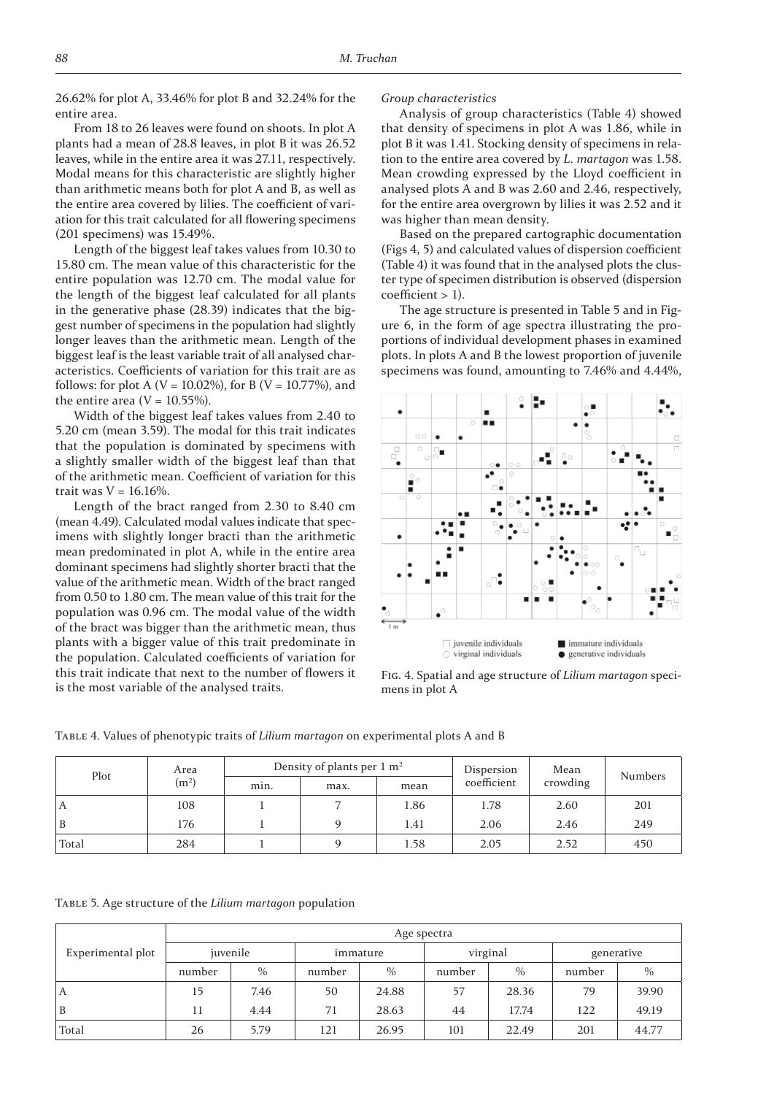26.62% for plot A, 33.46% for plot B and 32.24% for the entire area.

From 18 to 26 leaves were found on shoots. In plot A plants had a mean of 28.8 leaves, in plot B it was 26.52 leaves, while in the entire area it was 27.11, respectively. Modal means for this characteristic are slightly higher than arithmetic means both for plot A and B, as well as the entire area covered by lilies. The coefficient of variation for this trait calculated for all flowering specimens  $(201$  specimens) was  $15.49\%$ .

Length of the biggest leaf takes values from 10.30 to 15.80 cm. The mean value of this characteristic for the entire population was 12.70 cm. The modal value for the length of the biggest leaf calculated for all plants in the generative phase  $(28.39)$  indicates that the biggest number of specimens in the population had slightly longer leaves than the arithmetic mean. Length of the biggest leaf is the least variable trait of all analysed characteristics. Coefficients of variation for this trait are as follows: for plot A (V = 10.02%), for B (V = 10.77%), and the entire area ( $V = 10.55\%$ ).

Width of the biggest leaf takes values from 2.40 to 5.20 cm (mean 3.59). The modal for this trait indicates that the population is dominated by specimens with a slightly smaller width of the biggest leaf than that of the arithmetic mean. Coefficient of variation for this trait was  $V = 16.16\%$ .

Length of the bract ranged from  $2.30$  to  $8.40$  cm (mean 4.49). Calculated modal values indicate that specimens with slightly longer bracti than the arithmetic mean predominated in plot A, while in the entire area dominant specimens had slightly shorter bracti that the value of the arithmetic mean. Width of the bract ranged from 0.50 to 1.80 cm. The mean value of this trait for the population was 0.96 cm. The modal value of the width of the bract was bigger than the arithmetic mean, thus plants with a bigger value of this trait predominate in the population. Calculated coefficients of variation for this trait indicate that next to the number of flowers it is the most variable of the analysed traits.

#### *Group characteristics*

Analysis of group characteristics (Table 4) showed that density of specimens in plot A was 1.86, while in plot B it was 1.41. Stocking density of specimens in relation to the entire area covered by *L. martagon* was 1.58. Mean crowding expressed by the Lloyd coefficient in analysed plots A and B was  $2.60$  and  $2.46$ , respectively, for the entire area overgrown by lilies it was 2.52 and it was higher than mean density.

Based on the prepared cartographic documentation (Figs 4, 5) and calculated values of dispersion coefficient (Table 4) it was found that in the analysed plots the cluster type of specimen distribution is observed (dispersion coefficient > 1).

The age structure is presented in Table 5 and in Figure 6, in the form of age spectra illustrating the proportions of individual development phases in examined plots. In plots A and B the lowest proportion of juvenile specimens was found, amounting to 7.46% and 4.44%,



FIG. 4. Spatial and age structure of *Lilium martagon speci*mens in plot A

|  | TABLE 4. Values of phenotypic traits of Lilium martagon on experimental plots A and B |  |
|--|---------------------------------------------------------------------------------------|--|
|  |                                                                                       |  |

| Plot  | Area              |      | Density of plants per $1 \text{ m}^2$ |      | Dispersion  | Mean     | <b>Numbers</b> |
|-------|-------------------|------|---------------------------------------|------|-------------|----------|----------------|
|       | (m <sup>2</sup> ) | min. | max.                                  | mean | coefficient | crowding |                |
| A     | 108               |      |                                       | 1.86 | 1.78        | 2.60     | 201            |
| B     | 176               |      |                                       | 1.41 | 2.06        | 2.46     | 249            |
| Total | 284               |      |                                       | 1.58 | 2.05        | 2.52     | 450            |

TABLE Ϳ. Age structure of the *Lilium martagon* population

| Experimental plot | Age spectra |               |        |          |          |       |            |       |  |  |  |  |
|-------------------|-------------|---------------|--------|----------|----------|-------|------------|-------|--|--|--|--|
|                   | juvenile    |               |        | immature | virginal |       | generative |       |  |  |  |  |
|                   | number      | $\frac{0}{0}$ | number | $\%$     | number   | $\%$  | number     | $\%$  |  |  |  |  |
| A                 | 15          | 7.46          | 50     | 24.88    | 57       | 28.36 | 79         | 39.90 |  |  |  |  |
| B                 | 11          | 4.44          | 71     | 28.63    | 44       | 17.74 | 122        | 49.19 |  |  |  |  |
| Total             | 26          | 5.79          | 121    | 26.95    | 101      | 22.49 | 201        | 44.77 |  |  |  |  |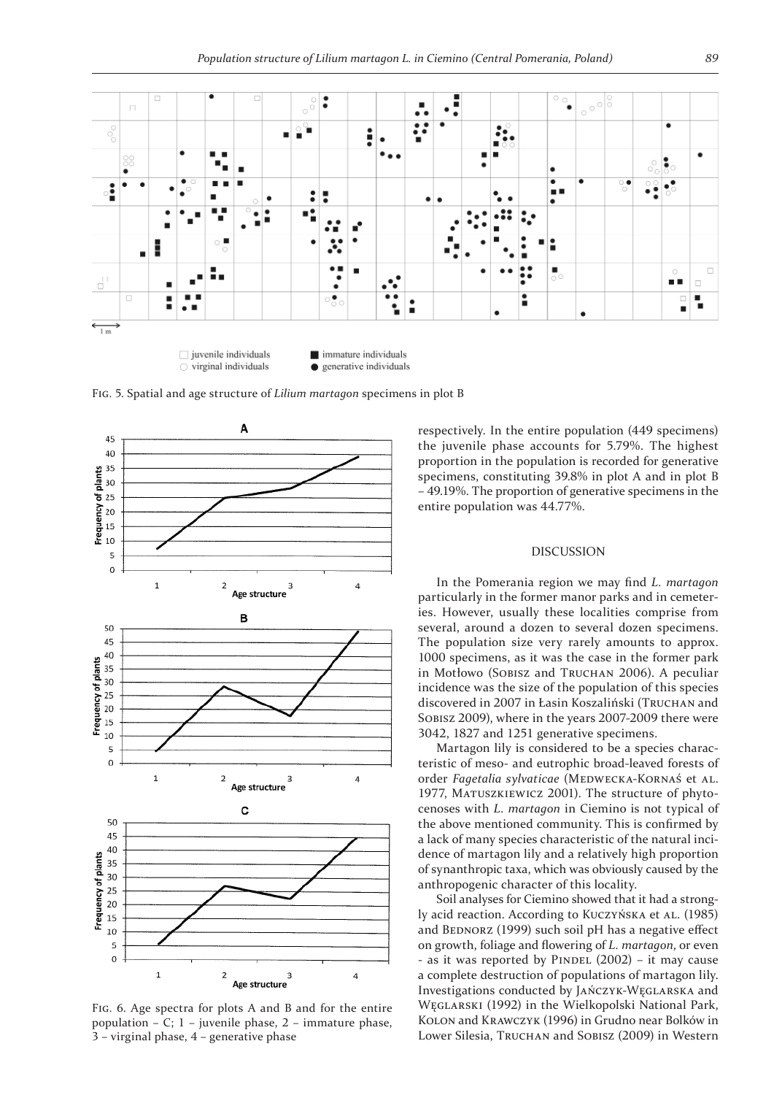

FIG. 5. Spatial and age structure of *Lilium martagon* specimens in plot B



FIG. 6. Age spectra for plots A and B and for the entire population – C;  $1$  – juvenile phase,  $2$  – immature phase,  $3$  – virginal phase,  $4$  – generative phase

respectively. In the entire population (449 specimens) the juvenile phase accounts for 5.79%. The highest proportion in the population is recorded for generative specimens, constituting 39.8% in plot A and in plot B – 49.19%. The proportion of generative specimens in the entire population was 44.77%.

## DISCUSSION

In the Pomerania region we may find *L. martagon* particularly in the former manor parks and in cemeteries. However, usually these localities comprise from several, around a dozen to several dozen specimens. The population size very rarely amounts to approx. 1000 specimens, as it was the case in the former park in Motłowo (SOBISZ and TRUCHAN 2006). A peculiar incidence was the size of the population of this species discovered in 2007 in Łasin Koszaliński (TRUCHAN and SOBISZ 2009), where in the years 2007-2009 there were 3042, 1827 and 1251 generative specimens.

Martagon lily is considered to be a species characteristic of meso- and eutrophic broad-leaved forests of order *Fagetalia sylvaticae* (MEDWECKA-KORNAŚ et AL. 1977, MATUSZKIEWICZ 2001). The structure of phytocenoses with *L. martagon* in Ciemino is not typical of the above mentioned community. This is confirmed by a lack of many species characteristic of the natural incidence of martagon lily and a relatively high proportion of synanthropic taxa, which was obviously caused by the anthropogenic character of this locality.

Soil analyses for Ciemino showed that it had a strongly acid reaction. According to KUCZYŃSKA et AL. (1985) and BEDNORZ (1999) such soil pH has a negative effect on growth, foliage and flowering of *L. martagon*, or even - as it was reported by PINDEL  $(2002)$  – it may cause a complete destruction of populations of martagon lily. Investigations conducted by JAŃCZYK-WĘGLARSKA and WĘGLARSKI (1992) in the Wielkopolski National Park, KOLON and KRAWCZYK (1996) in Grudno near Bolków in Lower Silesia, TRUCHAN and SOBISZ (2009) in Western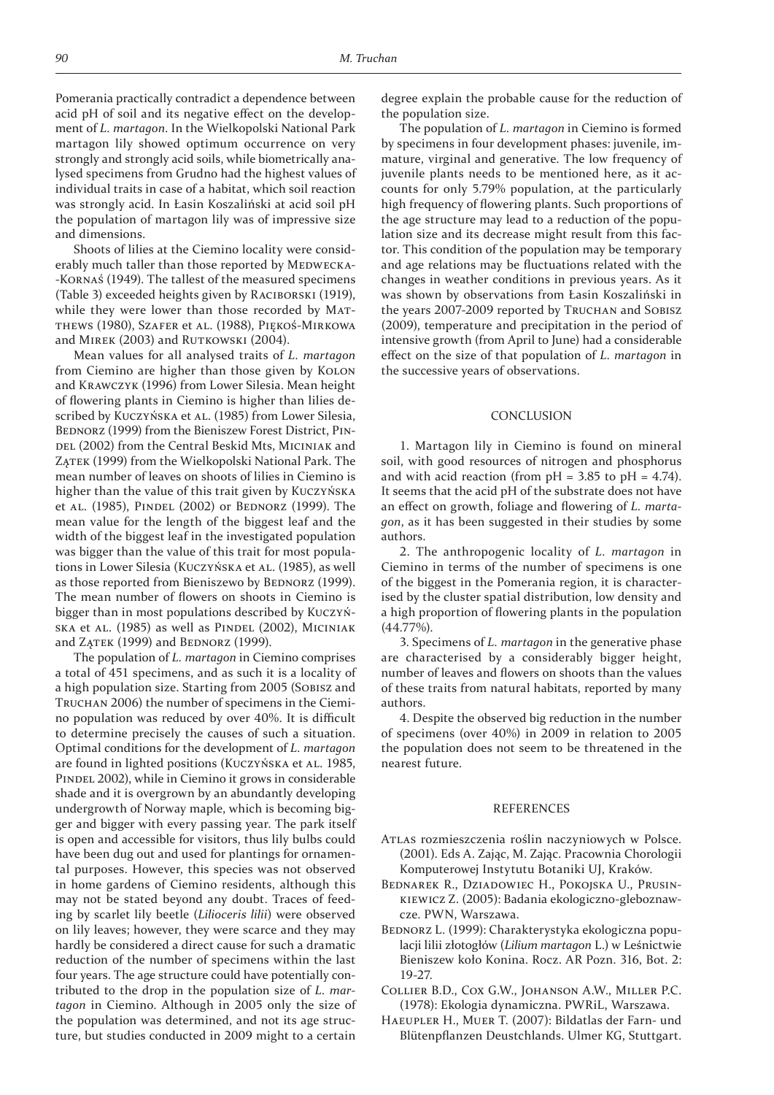Pomerania practically contradict a dependence between acid pH of soil and its negative effect on the development of *L. martagon*. In the Wielkopolski National Park martagon lily showed optimum occurrence on very strongly and strongly acid soils, while biometrically analysed specimens from Grudno had the highest values of individual traits in case of a habitat, which soil reaction was strongly acid. In Łasin Koszaliński at acid soil pH the population of martagon lily was of impressive size and dimensions.

Shoots of lilies at the Ciemino locality were considerably much taller than those reported by MEDWECKA- -KORNAŚ (1949). The tallest of the measured specimens (Table 3) exceeded heights given by RACIBORSKI (1919), while they were lower than those recorded by MAT-THEWS (1980), SZAFER et AL. (1988), PIĘKOŚ-MIRKOWA and MIREK (2003) and RUTKOWSKI (2004).

Mean values for all analysed traits of *L. martagon* from Ciemino are higher than those given by KOLON and KRAWCZYK (1996) from Lower Silesia. Mean height of flowering plants in Ciemino is higher than lilies described by KUCZYŃSKA et AL. (1985) from Lower Silesia, BEDNORZ (1999) from the Bieniszew Forest District, PIN-DEL (2002) from the Central Beskid Mts, MICINIAK and ZĄTEK (1999) from the Wielkopolski National Park. The mean number of leaves on shoots of lilies in Ciemino is higher than the value of this trait given by KUCZYŃSKA et AL. (1985), PINDEL (2002) or BEDNORZ (1999). The mean value for the length of the biggest leaf and the width of the biggest leaf in the investigated population was bigger than the value of this trait for most populations in Lower Silesia (KUCZYŃSKA et AL. (1985), as well as those reported from Bieniszewo by BEDNORZ (1999). The mean number of flowers on shoots in Ciemino is bigger than in most populations described by KUCZYŃ-SKA et AL. (1985) as well as PINDEL (2002), MICINIAK and  $ZATEK$  (1999) and BEDNORZ (1999).

The population of *L. martagon* in Ciemino comprises a total of 451 specimens, and as such it is a locality of a high population size. Starting from 2005 (SOBISZ and TRUCHAN 2006) the number of specimens in the Ciemino population was reduced by over 40%. It is difficult to determine precisely the causes of such a situation. Optimal conditions for the development of *L. martagon* are found in lighted positions (KUCZYŃSKA et AL. 1985, PINDEL 2002), while in Ciemino it grows in considerable shade and it is overgrown by an abundantly developing undergrowth of Norway maple, which is becoming bigger and bigger with every passing year. The park itself is open and accessible for visitors, thus lily bulbs could have been dug out and used for plantings for ornamental purposes. However, this species was not observed in home gardens of Ciemino residents, although this may not be stated beyond any doubt. Traces of feeding by scarlet lily beetle (*Lilioceris lilii*) were observed on lily leaves; however, they were scarce and they may hardly be considered a direct cause for such a dramatic reduction of the number of specimens within the last four years. The age structure could have potentially contributed to the drop in the population size of *L. martagon* in Ciemino. Although in 2005 only the size of the population was determined, and not its age structure, but studies conducted in 2009 might to a certain

degree explain the probable cause for the reduction of the population size.

The population of *L. martagon* in Ciemino is formed by specimens in four development phases: juvenile, immature, virginal and generative. The low frequency of juvenile plants needs to be mentioned here, as it accounts for only 5.79% population, at the particularly high frequency of flowering plants. Such proportions of the age structure may lead to a reduction of the population size and its decrease might result from this factor. This condition of the population may be temporary and age relations may be fluctuations related with the changes in weather conditions in previous years. As it was shown by observations from Łasin Koszaliński in the years 2007-2009 reported by TRUCHAN and SOBISZ (2009), temperature and precipitation in the period of intensive growth (from April to June) had a considerable effect on the size of that population of *L. martagon* in the successive years of observations.

#### CONCLUSION

1. Martagon lily in Ciemino is found on mineral soil, with good resources of nitrogen and phosphorus and with acid reaction (from  $pH = 3.85$  to  $pH = 4.74$ ). It seems that the acid pH of the substrate does not have an effect on growth, foliage and flowering of *L. martagon*, as it has been suggested in their studies by some authors.

2. The anthropogenic locality of *L. martagon* in Ciemino in terms of the number of specimens is one of the biggest in the Pomerania region, it is characterised by the cluster spatial distribution, low density and a high proportion of flowering plants in the population  $(44.77\%).$ 

ͽ. Specimens of *L. martagon* in the generative phase are characterised by a considerably bigger height, number of leaves and flowers on shoots than the values of these traits from natural habitats, reported by many authors.

4. Despite the observed big reduction in the number of specimens (over 40%) in 2009 in relation to 2005 the population does not seem to be threatened in the nearest future.

#### REFERENCES

- ATLAS rozmieszczenia roślin naczyniowych w Polsce. (2001). Eds A. Zając, M. Zając. Pracownia Chorologii Komputerowej Instytutu Botaniki UJ, Kraków.
- BEDNAREK R., DZIADOWIEC H., POKOJSKA U., PRUSIN-KIEWICZ Z. (2005): Badania ekologiczno-gleboznawcze. PWN, Warszawa.
- BEDNORZ L. (1999): Charakterystyka ekologiczna populacji lilii złotogłów (*Lilium martagon* L.) w Leśnictwie Bieniszew koło Konina. Rocz. AR Pozn. 316, Bot. 2: 19-27.
- COLLIER B.D., COX G.W., JOHANSON A.W., MILLER P.C. (1978): Ekologia dynamiczna. PWRiL, Warszawa.
- HAEUPLER H., MUER T. (2007): Bildatlas der Farn- und Blütenpflanzen Deustchlands. Ulmer KG, Stuttgart.